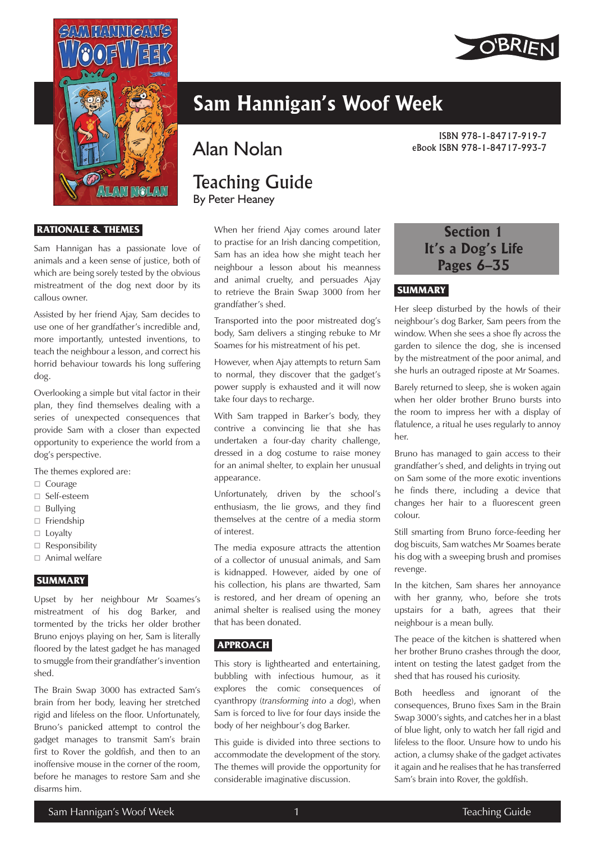

#### **RATIONALE & THEMES**

Sam Hannigan has a passionate love of animals and a keen sense of justice, both of which are being sorely tested by the obvious mistreatment of the dog next door by its callous owner.

Assisted by her friend Ajay, Sam decides to use one of her grandfather's incredible and, more importantly, untested inventions, to teach the neighbour a lesson, and correct his horrid behaviour towards his long suffering dog.

Overlooking a simple but vital factor in their plan, they find themselves dealing with a series of unexpected consequences that provide Sam with a closer than expected opportunity to experience the world from a dog's perspective.

The themes explored are:

- □ Courage
- □ Self-esteem
- $\Box$  Bullying
- $\Box$  Friendship
- $\Box$  Lovalty
- □ Responsibility
- $\Box$  Animal welfare

# **SUMMARY**

Upset by her neighbour Mr Soames's mistreatment of his dog Barker, and tormented by the tricks her older brother Bruno enjoys playing on her, Sam is literally floored by the latest gadget he has managed to smuggle from their grandfather's invention shed.

The Brain Swap 3000 has extracted Sam's brain from her body, leaving her stretched rigid and lifeless on the floor. Unfortunately, Bruno's panicked attempt to control the gadget manages to transmit Sam's brain first to Rover the goldfish, and then to an inoffensive mouse in the corner of the room, before he manages to restore Sam and she disarms him.

# **Sam Hannigan's Woof Week**

# Teaching Guide

By Peter Heaney

When her friend Ajay comes around later to practise for an Irish dancing competition, Sam has an idea how she might teach her neighbour a lesson about his meanness and animal cruelty, and persuades Ajay to retrieve the Brain Swap 3000 from her grandfather's shed.

Transported into the poor mistreated dog's body, Sam delivers a stinging rebuke to Mr Soames for his mistreatment of his pet.

However, when Ajay attempts to return Sam to normal, they discover that the gadget's power supply is exhausted and it will now take four days to recharge.

With Sam trapped in Barker's body, they contrive a convincing lie that she has undertaken a four-day charity challenge, dressed in a dog costume to raise money for an animal shelter, to explain her unusual appearance.

Unfortunately, driven by the school's enthusiasm, the lie grows, and they find themselves at the centre of a media storm of interest.

The media exposure attracts the attention of a collector of unusual animals, and Sam is kidnapped. However, aided by one of his collection, his plans are thwarted, Sam is restored, and her dream of opening an animal shelter is realised using the money that has been donated.

# **APPROACH**

This story is lighthearted and entertaining, bubbling with infectious humour, as it explores the comic consequences of cyanthropy (*transforming into a dog*), when Sam is forced to live for four days inside the body of her neighbour's dog Barker.

This guide is divided into three sections to accommodate the development of the story. The themes will provide the opportunity for considerable imaginative discussion.

ISBN 978-1-84717-919-7 Alan Nolan eBook ISBN 978-1-84717-993-7

# **Section 1 It's a Dog's Life Pages 6–35**

# **SUMMARY**

Her sleep disturbed by the howls of their neighbour's dog Barker, Sam peers from the window. When she sees a shoe fly across the garden to silence the dog, she is incensed by the mistreatment of the poor animal, and she hurls an outraged riposte at Mr Soames.

Barely returned to sleep, she is woken again when her older brother Bruno bursts into the room to impress her with a display of flatulence, a ritual he uses regularly to annoy her.

Bruno has managed to gain access to their grandfather's shed, and delights in trying out on Sam some of the more exotic inventions he finds there, including a device that changes her hair to a fluorescent green colour.

Still smarting from Bruno force-feeding her dog biscuits, Sam watches Mr Soames berate his dog with a sweeping brush and promises revenge.

In the kitchen, Sam shares her annoyance with her granny, who, before she trots upstairs for a bath, agrees that their neighbour is a mean bully.

The peace of the kitchen is shattered when her brother Bruno crashes through the door, intent on testing the latest gadget from the shed that has roused his curiosity.

Both heedless and ignorant of the consequences, Bruno fixes Sam in the Brain Swap 3000's sights, and catches her in a blast of blue light, only to watch her fall rigid and lifeless to the floor. Unsure how to undo his action, a clumsy shake of the gadget activates it again and he realises that he has transferred Sam's brain into Rover, the goldfish.

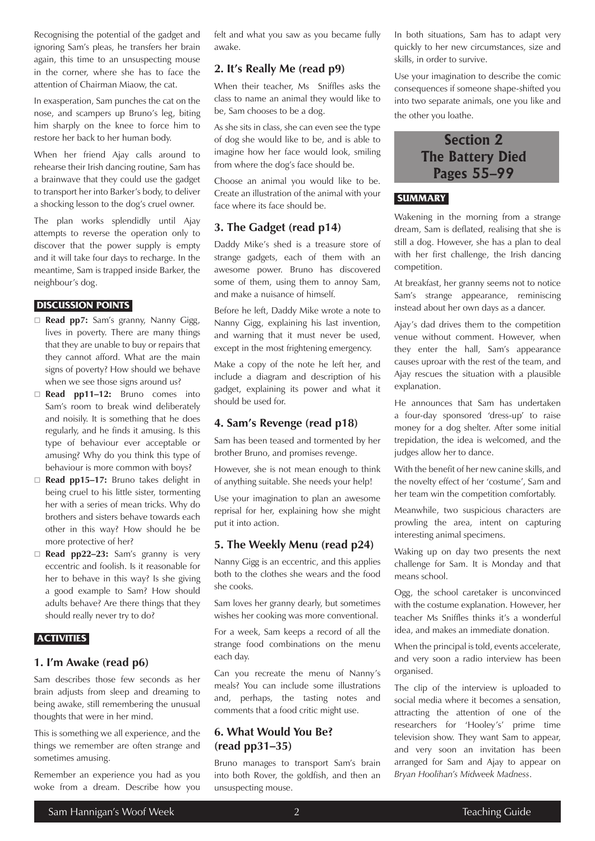Recognising the potential of the gadget and ignoring Sam's pleas, he transfers her brain again, this time to an unsuspecting mouse in the corner, where she has to face the attention of Chairman Miaow, the cat.

In exasperation, Sam punches the cat on the nose, and scampers up Bruno's leg, biting him sharply on the knee to force him to restore her back to her human body.

When her friend Ajay calls around to rehearse their Irish dancing routine, Sam has a brainwave that they could use the gadget to transport her into Barker's body, to deliver a shocking lesson to the dog's cruel owner.

The plan works splendidly until Ajay attempts to reverse the operation only to discover that the power supply is empty and it will take four days to recharge. In the meantime, Sam is trapped inside Barker, the neighbour's dog.

#### **DISCUSSION POINTS**

- □ **Read pp7:** Sam's granny, Nanny Gigg, lives in poverty. There are many things that they are unable to buy or repairs that they cannot afford. What are the main signs of poverty? How should we behave when we see those signs around us?
- □ **Read pp11-12:** Bruno comes into Sam's room to break wind deliberately and noisily. It is something that he does regularly, and he finds it amusing. Is this type of behaviour ever acceptable or amusing? Why do you think this type of behaviour is more common with boys?
- **Read pp15–17:** Bruno takes delight in being cruel to his little sister, tormenting her with a series of mean tricks. Why do brothers and sisters behave towards each other in this way? How should he be more protective of her?
- □ **Read pp22-23:** Sam's granny is very eccentric and foolish. Is it reasonable for her to behave in this way? Is she giving a good example to Sam? How should adults behave? Are there things that they should really never try to do?

#### **ACTIVITIES**

## **1. I'm Awake (read p6)**

Sam describes those few seconds as her brain adjusts from sleep and dreaming to being awake, still remembering the unusual thoughts that were in her mind.

This is something we all experience, and the things we remember are often strange and sometimes amusing.

Remember an experience you had as you woke from a dream. Describe how you felt and what you saw as you became fully awake.

# **2. It's Really Me (read p9)**

When their teacher, Ms Sniffles asks the class to name an animal they would like to be, Sam chooses to be a dog.

As she sits in class, she can even see the type of dog she would like to be, and is able to imagine how her face would look, smiling from where the dog's face should be.

Choose an animal you would like to be. Create an illustration of the animal with your face where its face should be.

# **3. The Gadget (read p14)**

Daddy Mike's shed is a treasure store of strange gadgets, each of them with an awesome power. Bruno has discovered some of them, using them to annoy Sam, and make a nuisance of himself.

Before he left, Daddy Mike wrote a note to Nanny Gigg, explaining his last invention, and warning that it must never be used, except in the most frightening emergency.

Make a copy of the note he left her, and include a diagram and description of his gadget, explaining its power and what it should be used for.

#### **4. Sam's Revenge (read p18)**

Sam has been teased and tormented by her brother Bruno, and promises revenge.

However, she is not mean enough to think of anything suitable. She needs your help!

Use your imagination to plan an awesome reprisal for her, explaining how she might put it into action.

# **5. The Weekly Menu (read p24)**

Nanny Gigg is an eccentric, and this applies both to the clothes she wears and the food she cooks.

Sam loves her granny dearly, but sometimes wishes her cooking was more conventional.

For a week, Sam keeps a record of all the strange food combinations on the menu each day.

Can you recreate the menu of Nanny's meals? You can include some illustrations and, perhaps, the tasting notes and comments that a food critic might use.

### **6. What Would You Be? (read pp31–35)**

Bruno manages to transport Sam's brain into both Rover, the goldfish, and then an unsuspecting mouse.

In both situations, Sam has to adapt very quickly to her new circumstances, size and skills, in order to survive.

Use your imagination to describe the comic consequences if someone shape-shifted you into two separate animals, one you like and the other you loathe.

# **Section 2 The Battery Died Pages 55–99**

#### **SUMMARY**

Wakening in the morning from a strange dream, Sam is deflated, realising that she is still a dog. However, she has a plan to deal with her first challenge, the Irish dancing competition.

At breakfast, her granny seems not to notice Sam's strange appearance, reminiscing instead about her own days as a dancer.

Ajay's dad drives them to the competition venue without comment. However, when they enter the hall, Sam's appearance causes uproar with the rest of the team, and Ajay rescues the situation with a plausible explanation.

He announces that Sam has undertaken a four-day sponsored 'dress-up' to raise money for a dog shelter. After some initial trepidation, the idea is welcomed, and the judges allow her to dance.

With the benefit of her new canine skills, and the novelty effect of her 'costume', Sam and her team win the competition comfortably.

Meanwhile, two suspicious characters are prowling the area, intent on capturing interesting animal specimens.

Waking up on day two presents the next challenge for Sam. It is Monday and that means school.

Ogg, the school caretaker is unconvinced with the costume explanation. However, her teacher Ms Sniffles thinks it's a wonderful idea, and makes an immediate donation.

When the principal is told, events accelerate, and very soon a radio interview has been organised.

The clip of the interview is uploaded to social media where it becomes a sensation, attracting the attention of one of the researchers for 'Hooley's' prime time television show. They want Sam to appear, and very soon an invitation has been arranged for Sam and Ajay to appear on *Bryan Hoolihan's Midweek Madness*.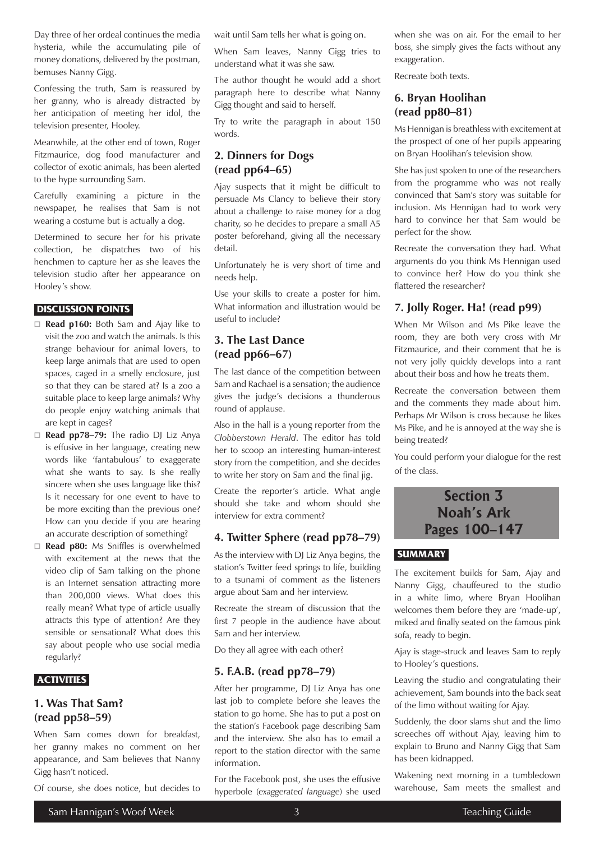Day three of her ordeal continues the media hysteria, while the accumulating pile of money donations, delivered by the postman, bemuses Nanny Gigg.

Confessing the truth, Sam is reassured by her granny, who is already distracted by her anticipation of meeting her idol, the television presenter, Hooley.

Meanwhile, at the other end of town, Roger Fitzmaurice, dog food manufacturer and collector of exotic animals, has been alerted to the hype surrounding Sam.

Carefully examining a picture in the newspaper, he realises that Sam is not wearing a costume but is actually a dog.

Determined to secure her for his private collection, he dispatches two of his henchmen to capture her as she leaves the television studio after her appearance on Hooley's show.

#### **DISCUSSION POINTS**

- **Read p160:** Both Sam and Ajay like to visit the zoo and watch the animals. Is this strange behaviour for animal lovers, to keep large animals that are used to open spaces, caged in a smelly enclosure, just so that they can be stared at? Is a zoo a suitable place to keep large animals? Why do people enjoy watching animals that are kept in cages?
- **Read pp78–79:** The radio DJ Liz Anya is effusive in her language, creating new words like 'fantabulous' to exaggerate what she wants to say. Is she really sincere when she uses language like this? Is it necessary for one event to have to be more exciting than the previous one? How can you decide if you are hearing an accurate description of something?
- □ **Read p80:** Ms Sniffles is overwhelmed with excitement at the news that the video clip of Sam talking on the phone is an Internet sensation attracting more than 200,000 views. What does this really mean? What type of article usually attracts this type of attention? Are they sensible or sensational? What does this say about people who use social media regularly?

## **ACTIVITIES**

# **1. Was That Sam? (read pp58–59)**

When Sam comes down for breakfast, her granny makes no comment on her appearance, and Sam believes that Nanny Gigg hasn't noticed.

Of course, she does notice, but decides to

wait until Sam tells her what is going on.

When Sam leaves, Nanny Gigg tries to understand what it was she saw.

The author thought he would add a short paragraph here to describe what Nanny Gigg thought and said to herself.

Try to write the paragraph in about 150 words.

# **2. Dinners for Dogs (read pp64–65)**

Ajay suspects that it might be difficult to persuade Ms Clancy to believe their story about a challenge to raise money for a dog charity, so he decides to prepare a small A5 poster beforehand, giving all the necessary detail.

Unfortunately he is very short of time and needs help.

Use your skills to create a poster for him. What information and illustration would be useful to include?

# **3. The Last Dance (read pp66–67)**

The last dance of the competition between Sam and Rachael is a sensation; the audience gives the judge's decisions a thunderous round of applause.

Also in the hall is a young reporter from the *Clobberstown Herald*. The editor has told her to scoop an interesting human-interest story from the competition, and she decides to write her story on Sam and the final jig.

Create the reporter's article. What angle should she take and whom should she interview for extra comment?

#### **4. Twitter Sphere (read pp78–79)**

As the interview with DJ Liz Anya begins, the station's Twitter feed springs to life, building to a tsunami of comment as the listeners argue about Sam and her interview.

Recreate the stream of discussion that the first 7 people in the audience have about Sam and her interview.

Do they all agree with each other?

#### **5. F.A.B. (read pp78–79)**

After her programme, DJ Liz Anya has one last job to complete before she leaves the station to go home. She has to put a post on the station's Facebook page describing Sam and the interview. She also has to email a report to the station director with the same information.

For the Facebook post, she uses the effusive hyperbole (*exaggerated language*) she used

when she was on air. For the email to her boss, she simply gives the facts without any exaggeration.

Recreate both texts.

# **6. Bryan Hoolihan (read pp80–81)**

Ms Hennigan is breathless with excitement at the prospect of one of her pupils appearing on Bryan Hoolihan's television show.

She has just spoken to one of the researchers from the programme who was not really convinced that Sam's story was suitable for inclusion. Ms Hennigan had to work very hard to convince her that Sam would be perfect for the show.

Recreate the conversation they had. What arguments do you think Ms Hennigan used to convince her? How do you think she flattered the researcher?

#### **7. Jolly Roger. Ha! (read p99)**

When Mr Wilson and Ms Pike leave the room, they are both very cross with Mr Fitzmaurice, and their comment that he is not very jolly quickly develops into a rant about their boss and how he treats them.

Recreate the conversation between them and the comments they made about him. Perhaps Mr Wilson is cross because he likes Ms Pike, and he is annoyed at the way she is being treated?

You could perform your dialogue for the rest of the class.



# **SUMMARY**

The excitement builds for Sam, Ajay and Nanny Gigg, chauffeured to the studio in a white limo, where Bryan Hoolihan welcomes them before they are 'made-up', miked and finally seated on the famous pink sofa, ready to begin.

Ajay is stage-struck and leaves Sam to reply to Hooley's questions.

Leaving the studio and congratulating their achievement, Sam bounds into the back seat of the limo without waiting for Ajay.

Suddenly, the door slams shut and the limo screeches off without Ajay, leaving him to explain to Bruno and Nanny Gigg that Sam has been kidnapped.

Wakening next morning in a tumbledown warehouse, Sam meets the smallest and